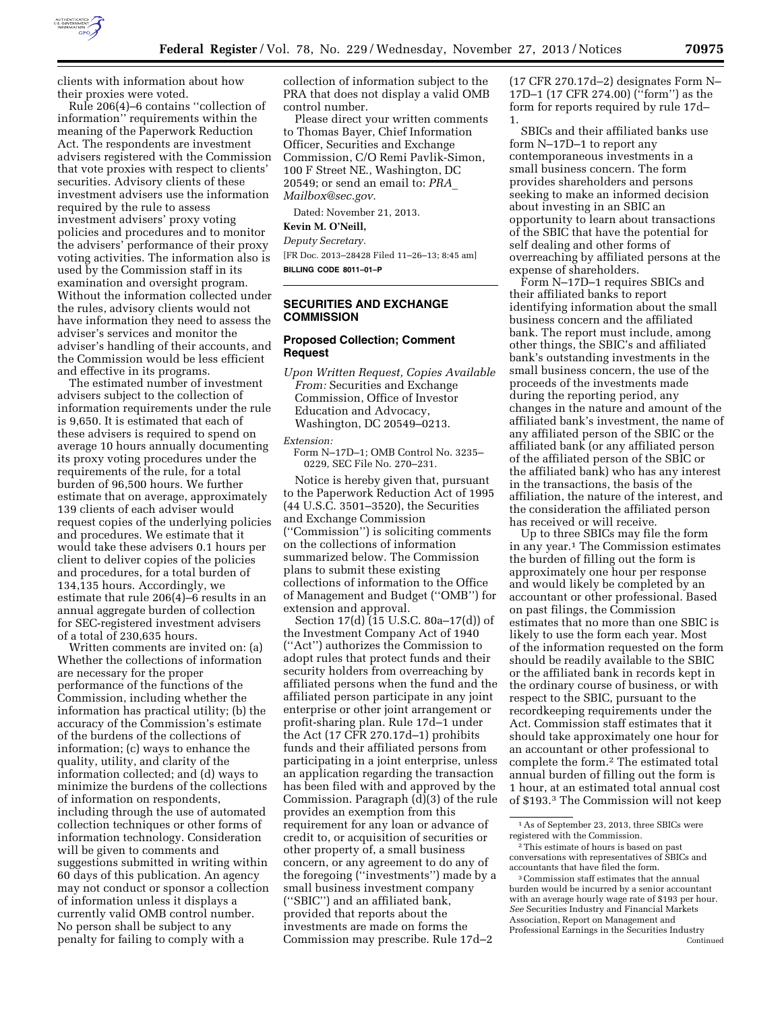

clients with information about how their proxies were voted.

Rule 206(4)–6 contains ''collection of information'' requirements within the meaning of the Paperwork Reduction Act. The respondents are investment advisers registered with the Commission that vote proxies with respect to clients' securities. Advisory clients of these investment advisers use the information required by the rule to assess investment advisers' proxy voting policies and procedures and to monitor the advisers' performance of their proxy voting activities. The information also is used by the Commission staff in its examination and oversight program. Without the information collected under the rules, advisory clients would not have information they need to assess the adviser's services and monitor the adviser's handling of their accounts, and the Commission would be less efficient and effective in its programs.

The estimated number of investment advisers subject to the collection of information requirements under the rule is 9,650. It is estimated that each of these advisers is required to spend on average 10 hours annually documenting its proxy voting procedures under the requirements of the rule, for a total burden of 96,500 hours. We further estimate that on average, approximately 139 clients of each adviser would request copies of the underlying policies and procedures. We estimate that it would take these advisers 0.1 hours per client to deliver copies of the policies and procedures, for a total burden of 134,135 hours. Accordingly, we estimate that rule 206(4)–6 results in an annual aggregate burden of collection for SEC-registered investment advisers of a total of 230,635 hours.

Written comments are invited on: (a) Whether the collections of information are necessary for the proper performance of the functions of the Commission, including whether the information has practical utility; (b) the accuracy of the Commission's estimate of the burdens of the collections of information; (c) ways to enhance the quality, utility, and clarity of the information collected; and (d) ways to minimize the burdens of the collections of information on respondents, including through the use of automated collection techniques or other forms of information technology. Consideration will be given to comments and suggestions submitted in writing within 60 days of this publication. An agency may not conduct or sponsor a collection of information unless it displays a currently valid OMB control number. No person shall be subject to any penalty for failing to comply with a

collection of information subject to the PRA that does not display a valid OMB control number.

Please direct your written comments to Thomas Bayer, Chief Information Officer, Securities and Exchange Commission, C/O Remi Pavlik-Simon, 100 F Street NE., Washington, DC 20549; or send an email to: *[PRA](mailto:PRA_Mailbox@sec.gov)*\_ *[Mailbox@sec.gov.](mailto:PRA_Mailbox@sec.gov)* 

Dated: November 21, 2013.

**Kevin M. O'Neill,** 

*Deputy Secretary.* 

[FR Doc. 2013–28428 Filed 11–26–13; 8:45 am] **BILLING CODE 8011–01–P** 

## **SECURITIES AND EXCHANGE COMMISSION**

#### **Proposed Collection; Comment Request**

*Upon Written Request, Copies Available From:* Securities and Exchange Commission, Office of Investor Education and Advocacy, Washington, DC 20549–0213.

*Extension:* 

Form N–17D–1; OMB Control No. 3235– 0229, SEC File No. 270–231.

Notice is hereby given that, pursuant to the Paperwork Reduction Act of 1995 (44 U.S.C. 3501–3520), the Securities and Exchange Commission (''Commission'') is soliciting comments on the collections of information summarized below. The Commission plans to submit these existing collections of information to the Office of Management and Budget (''OMB'') for extension and approval.

Section 17(d) (15 U.S.C. 80a–17(d)) of the Investment Company Act of 1940 (''Act'') authorizes the Commission to adopt rules that protect funds and their security holders from overreaching by affiliated persons when the fund and the affiliated person participate in any joint enterprise or other joint arrangement or profit-sharing plan. Rule 17d–1 under the Act (17 CFR 270.17d–1) prohibits funds and their affiliated persons from participating in a joint enterprise, unless an application regarding the transaction has been filed with and approved by the Commission. Paragraph (d)(3) of the rule provides an exemption from this requirement for any loan or advance of credit to, or acquisition of securities or other property of, a small business concern, or any agreement to do any of the foregoing (''investments'') made by a small business investment company (''SBIC'') and an affiliated bank, provided that reports about the investments are made on forms the Commission may prescribe. Rule 17d–2

(17 CFR 270.17d–2) designates Form N– 17D–1 (17 CFR 274.00) (''form'') as the form for reports required by rule 17d– 1.

SBICs and their affiliated banks use form N–17D–1 to report any contemporaneous investments in a small business concern. The form provides shareholders and persons seeking to make an informed decision about investing in an SBIC an opportunity to learn about transactions of the SBIC that have the potential for self dealing and other forms of overreaching by affiliated persons at the expense of shareholders.

Form N–17D–1 requires SBICs and their affiliated banks to report identifying information about the small business concern and the affiliated bank. The report must include, among other things, the SBIC's and affiliated bank's outstanding investments in the small business concern, the use of the proceeds of the investments made during the reporting period, any changes in the nature and amount of the affiliated bank's investment, the name of any affiliated person of the SBIC or the affiliated bank (or any affiliated person of the affiliated person of the SBIC or the affiliated bank) who has any interest in the transactions, the basis of the affiliation, the nature of the interest, and the consideration the affiliated person has received or will receive.

Up to three SBICs may file the form in any year.1 The Commission estimates the burden of filling out the form is approximately one hour per response and would likely be completed by an accountant or other professional. Based on past filings, the Commission estimates that no more than one SBIC is likely to use the form each year. Most of the information requested on the form should be readily available to the SBIC or the affiliated bank in records kept in the ordinary course of business, or with respect to the SBIC, pursuant to the recordkeeping requirements under the Act. Commission staff estimates that it should take approximately one hour for an accountant or other professional to complete the form.2 The estimated total annual burden of filling out the form is 1 hour, at an estimated total annual cost of \$193.3 The Commission will not keep

<sup>1</sup>As of September 23, 2013, three SBICs were registered with the Commission.

<sup>2</sup>This estimate of hours is based on past conversations with representatives of SBICs and accountants that have filed the form.

<sup>3</sup>Commission staff estimates that the annual burden would be incurred by a senior accountant with an average hourly wage rate of \$193 per hour. *See* Securities Industry and Financial Markets Association, Report on Management and Professional Earnings in the Securities Industry Continued